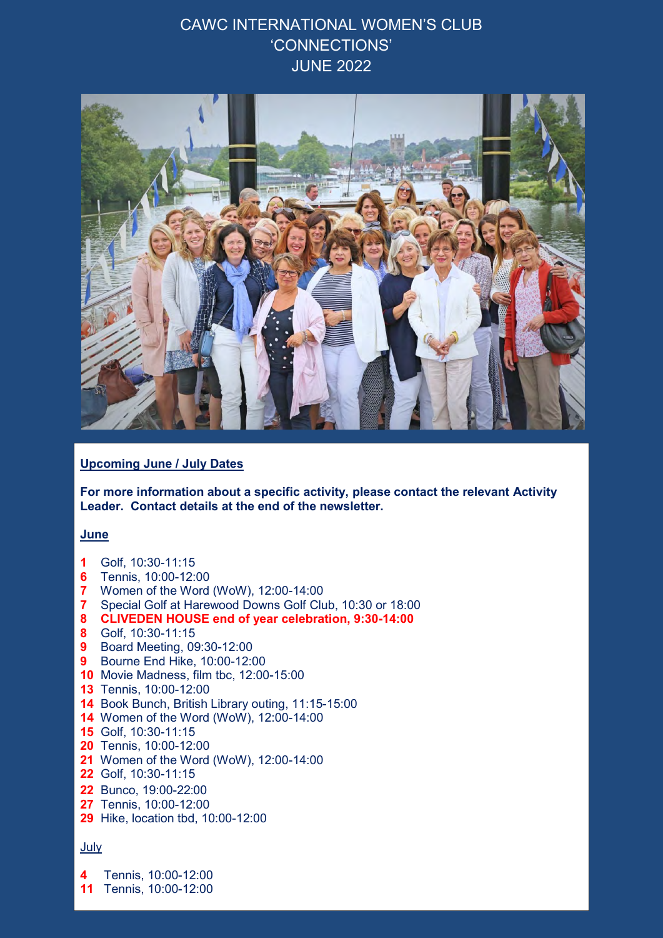# CAWC INTERNATIONAL WOMEN'S CLUB 'CONNECTIONS' JUNE 2022



### **Upcoming June / July Dates**

**For more information about a specific activity, please contact the relevant Activity Leader. Contact details at the end of the newsletter.**

#### **June**

- Golf, 10:30-11:15
- Tennis, 10:00-12:00
- Women of the Word (WoW), 12:00-14:00
- Special Golf at Harewood Downs Golf Club, 10:30 or 18:00
- **8 CLIVEDEN HOUSE end of year celebration, 9:30-14:00**
- Golf, 10:30-11:15
- Board Meeting, 09:30-12:00
- Bourne End Hike, 10:00-12:00
- Movie Madness, film tbc, 12:00-15:00
- Tennis, 10:00-12:00
- Book Bunch, British Library outing, 11:15-15:00
- Women of the Word (WoW), 12:00-14:00
- Golf, 10:30-11:15
- Tennis, 10:00-12:00
- Women of the Word (WoW), 12:00-14:00
- Golf, 10:30-11:15
- Bunco, 19:00-22:00
- Tennis, 10:00-12:00
- Hike, location tbd, 10:00-12:00

#### July

Tennis, 10:00-12:00

Tennis, 10:00-12:00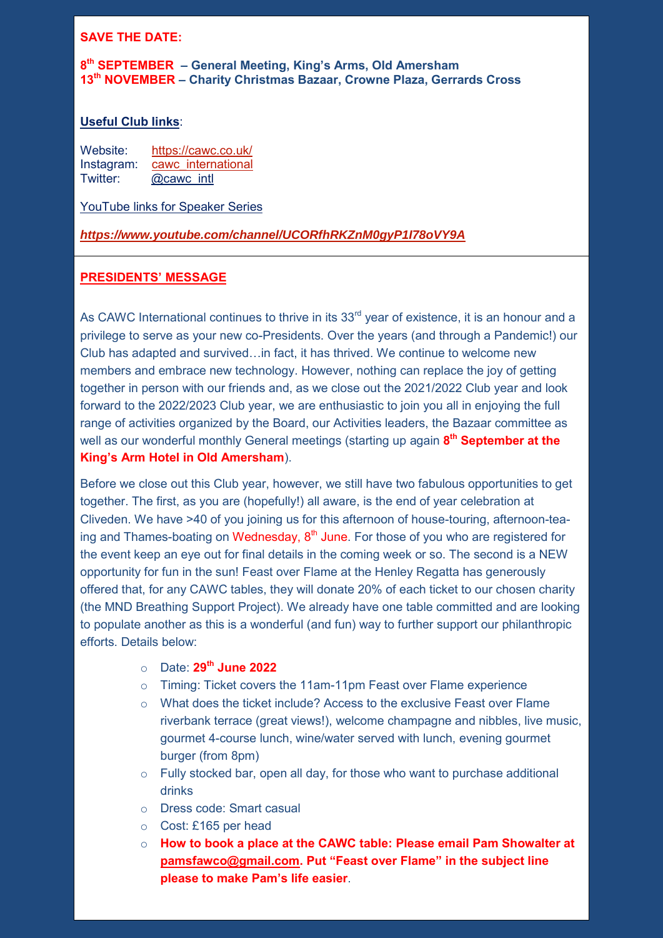#### **SAVE THE DATE:**

#### **8 th SEPTEMBER – General Meeting, King's Arms, Old Amersham 13th NOVEMBER – Charity Christmas Bazaar, Crowne Plaza, Gerrards Cross**

#### **Useful Club links**:

Website: [https://cawc.co.uk/](https://cawc.us14.list-manage.com/track/click?u=0981b30d27a0f8200fd6fa8cb&id=9026b74285&e=2848cb8fa1) Instagram: [cawc\\_international](https://cawc.us14.list-manage.com/track/click?u=0981b30d27a0f8200fd6fa8cb&id=ea4ebf5fb7&e=2848cb8fa1) Twitter: @cawc\_intl

YouTube links for Speaker Series

#### *[https://www.youtube.com/channel/UCORfhRKZnM0gyP1I78oVY9A](https://cawc.us14.list-manage.com/track/click?u=0981b30d27a0f8200fd6fa8cb&id=54763c4e6b&e=2848cb8fa1)*

#### **PRESIDENTS' MESSAGE**

As CAWC International continues to thrive in its  $33<sup>rd</sup>$  year of existence, it is an honour and a privilege to serve as your new co-Presidents. Over the years (and through a Pandemic!) our Club has adapted and survived…in fact, it has thrived. We continue to welcome new members and embrace new technology. However, nothing can replace the joy of getting together in person with our friends and, as we close out the 2021/2022 Club year and look forward to the 2022/2023 Club year, we are enthusiastic to join you all in enjoying the full range of activities organized by the Board, our Activities leaders, the Bazaar committee as well as our wonderful monthly General meetings (starting up again **8 th September at the King's Arm Hotel in Old Amersham**).

Before we close out this Club year, however, we still have two fabulous opportunities to get together. The first, as you are (hopefully!) all aware, is the end of year celebration at Cliveden. We have >40 of you joining us for this afternoon of house-touring, afternoon-teaing and Thames-boating on Wednesday, 8<sup>th</sup> June. For those of you who are registered for the event keep an eye out for final details in the coming week or so. The second is a NEW opportunity for fun in the sun! Feast over Flame at the Henley Regatta has generously offered that, for any CAWC tables, they will donate 20% of each ticket to our chosen charity (the MND Breathing Support Project). We already have one table committed and are looking to populate another as this is a wonderful (and fun) way to further support our philanthropic efforts. Details below:

- o Date: **29th June 2022**
- o Timing: Ticket covers the 11am-11pm Feast over Flame experience
- $\circ$  What does the ticket include? Access to the exclusive Feast over Flame riverbank terrace (great views!), welcome champagne and nibbles, live music, gourmet 4-course lunch, wine/water served with lunch, evening gourmet burger (from 8pm)
- o Fully stocked bar, open all day, for those who want to purchase additional drinks
- o Dress code: Smart casual
- o Cost: £165 per head
- o **How to book a place at the CAWC table: Please email Pam Showalter at pamsfawco@gmail.com. Put "Feast over Flame" in the subject line please to make Pam's life easier**.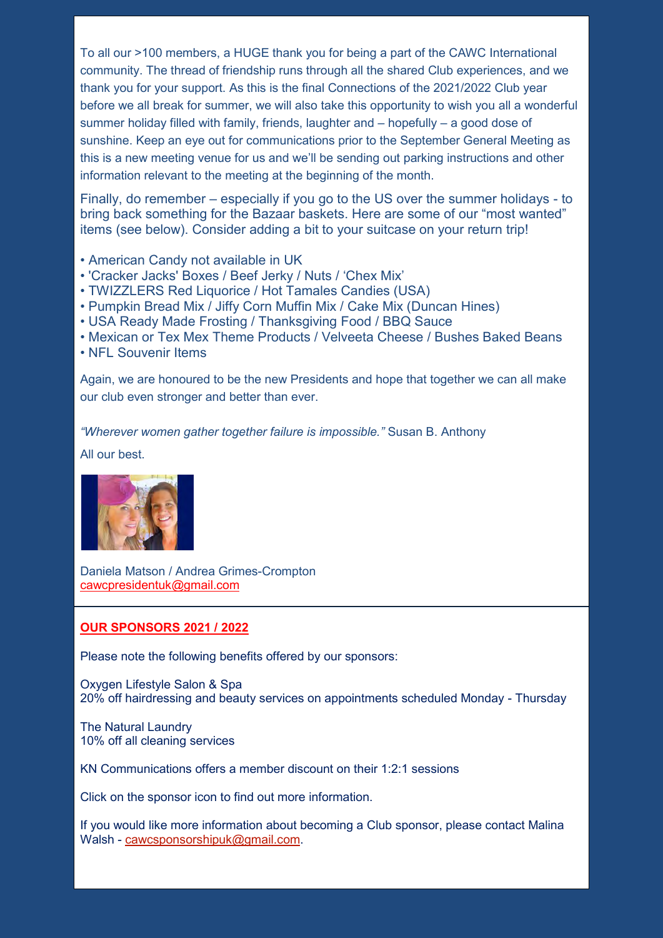To all our >100 members, a HUGE thank you for being a part of the CAWC International community. The thread of friendship runs through all the shared Club experiences, and we thank you for your support. As this is the final Connections of the 2021/2022 Club year before we all break for summer, we will also take this opportunity to wish you all a wonderful summer holiday filled with family, friends, laughter and – hopefully – a good dose of sunshine. Keep an eye out for communications prior to the September General Meeting as this is a new meeting venue for us and we'll be sending out parking instructions and other information relevant to the meeting at the beginning of the month.

Finally, do remember – especially if you go to the US over the summer holidays - to bring back something for the Bazaar baskets. Here are some of our "most wanted" items (see below). Consider adding a bit to your suitcase on your return trip!

- American Candy not available in UK
- 'Cracker Jacks' Boxes / Beef Jerky / Nuts / 'Chex Mix'
- TWIZZLERS Red Liquorice / Hot Tamales Candies (USA)
- Pumpkin Bread Mix / Jiffy Corn Muffin Mix / Cake Mix (Duncan Hines)
- USA Ready Made Frosting / Thanksgiving Food / BBQ Sauce
- Mexican or Tex Mex Theme Products / Velveeta Cheese / Bushes Baked Beans
- NFL Souvenir Items

Again, we are honoured to be the new Presidents and hope that together we can all make our club even stronger and better than ever.

*"Wherever women gather together failure is impossible."* Susan B. Anthony

All our best.



Daniela Matson / Andrea Grimes-Crompton [cawcpresidentuk@gmail.com](mailto:cawcpresidentuk@gmail.com)

#### **OUR SPONSORS 2021 / 2022**

Please note the following benefits offered by our sponsors:

Oxygen Lifestyle Salon & Spa 20% off hairdressing and beauty services on appointments scheduled Monday - Thursday

The Natural Laundry 10% off all cleaning services

KN Communications offers a member discount on their 1:2:1 sessions

Click on the sponsor icon to find out more information.

If you would like more information about becoming a Club sponsor, please contact Malina Walsh - [cawcsponsorshipuk@gmail.com.](mailto:cawcsponsorshipuk@gmail.com)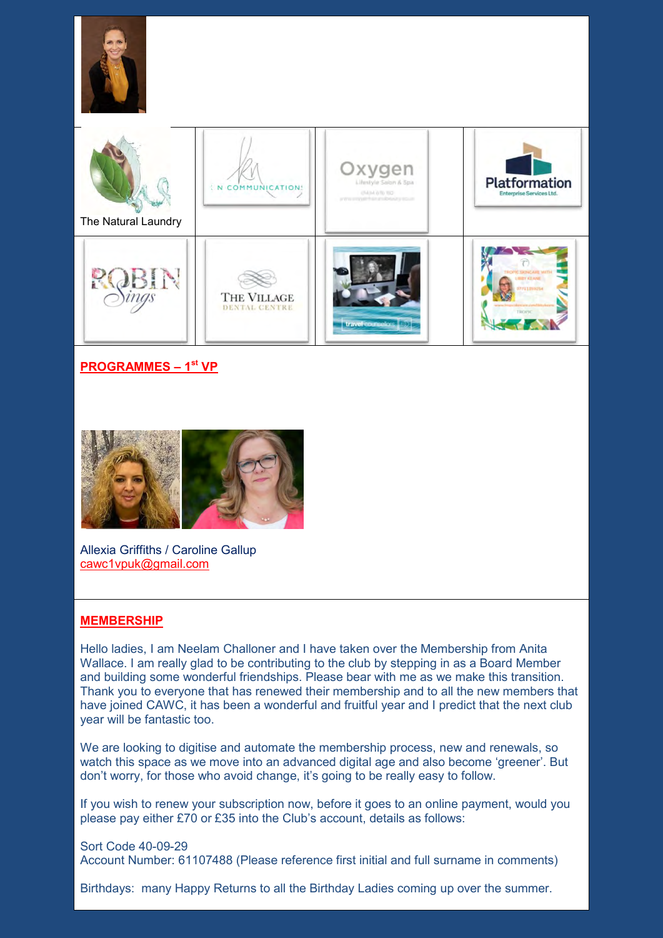



# **PROGRAMMES – 1 st VP**



Allexia Griffiths / Caroline Gallup [cawc1vpuk@gmail.com](mailto:cawc1vpuk@gmail.com)

#### **MEMBERSHIP**

Hello ladies, I am Neelam Challoner and I have taken over the Membership from Anita Wallace. I am really glad to be contributing to the club by stepping in as a Board Member and building some wonderful friendships. Please bear with me as we make this transition. Thank you to everyone that has renewed their membership and to all the new members that have joined CAWC, it has been a wonderful and fruitful year and I predict that the next club year will be fantastic too.

We are looking to digitise and automate the membership process, new and renewals, so watch this space as we move into an advanced digital age and also become 'greener'. But don't worry, for those who avoid change, it's going to be really easy to follow.

If you wish to renew your subscription now, before it goes to an online payment, would you please pay either £70 or £35 into the Club's account, details as follows:

Sort Code 40-09-29 Account Number: 61107488 (Please reference first initial and full surname in comments)

Birthdays: many Happy Returns to all the Birthday Ladies coming up over the summer.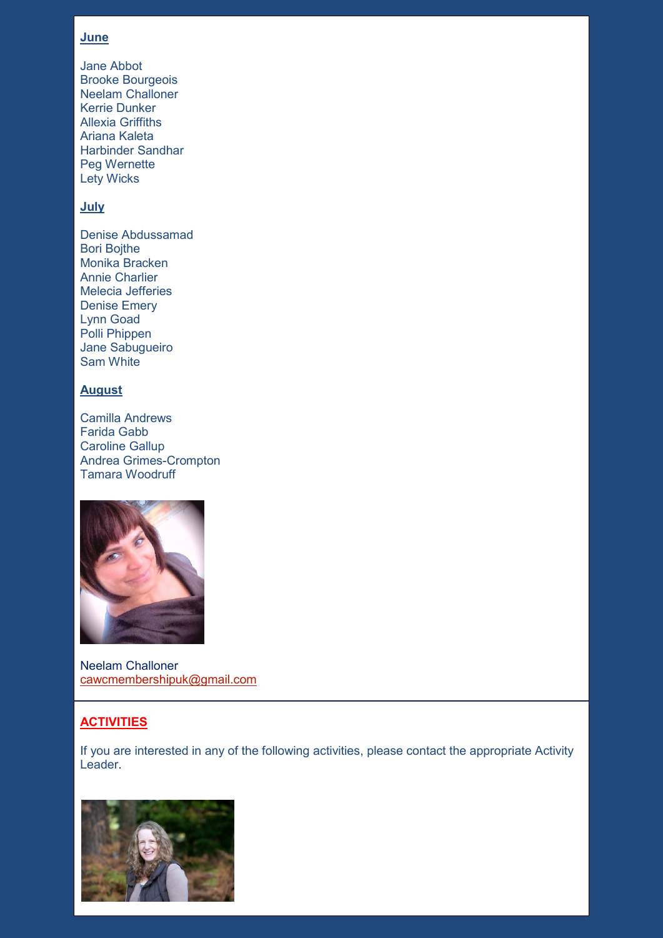# **June**

Jane Abbot Brooke Bourgeois Neelam Challoner Kerrie Dunker Allexia Griffiths Ariana Kaleta Harbinder Sandhar Peg Wernette Lety Wicks

### **July**

Denise Abdussamad Bori Bojthe Monika Bracken Annie Charlier Melecia Jefferies Denise Emery Lynn Goad Polli Phippen Jane Sabugueiro Sam White

# **August**

Camilla Andrews Farida Gabb Caroline Gallup Andrea Grimes-Crompton Tamara Woodruff



Neelam Challoner [cawcmembershipuk@gmail.com](mailto:CAWCmembershipuk@gmail.com)

# **ACTIVITIES**

If you are interested in any of the following activities, please contact the appropriate Activity Leader.